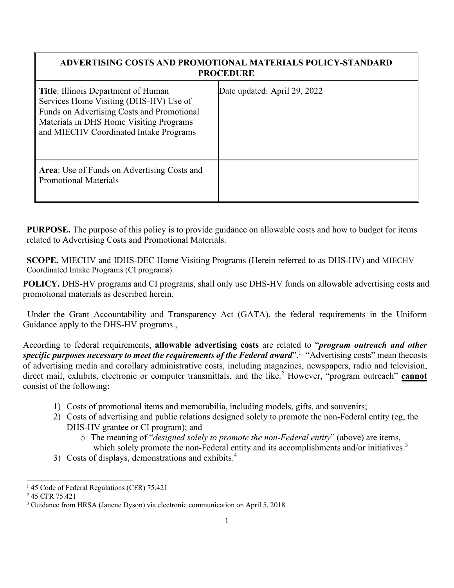## **ADVERTISING COSTS AND PROMOTIONAL MATERIALS POLICY-STANDARD PROCEDURE**

| <b>Title:</b> Illinois Department of Human<br>Services Home Visiting (DHS-HV) Use of<br>Funds on Advertising Costs and Promotional<br>Materials in DHS Home Visiting Programs<br>and MIECHV Coordinated Intake Programs | Date updated: April 29, 2022 |
|-------------------------------------------------------------------------------------------------------------------------------------------------------------------------------------------------------------------------|------------------------------|
| Area: Use of Funds on Advertising Costs and<br><b>Promotional Materials</b>                                                                                                                                             |                              |

**PURPOSE.** The purpose of this policy is to provide guidance on allowable costs and how to budget for items related to Advertising Costs and Promotional Materials.

**SCOPE.** MIECHV and IDHS-DEC Home Visiting Programs (Herein referred to as DHS-HV) and MIECHV Coordinated Intake Programs (CI programs).

**POLICY.** DHS-HV programs and CI programs, shall only use DHS-HV funds on allowable advertising costs and promotional materials as described herein.

 Under the Grant Accountability and Transparency Act (GATA), the federal requirements in the Uniform Guidance apply to the DHS-HV programs.,

According to federal requirements, **allowable advertising costs** are related to "*program outreach and other specific purposes necessary to meet the requirements of the Federal award*"[.](#page-0-0)<sup>1</sup> "Advertising costs" mean thecosts of advertising media and corollary administrative costs, including magazines, newspapers, radio and television, direct mail, exhibits, electronic or computer transmittals, and the lik[e.](#page-0-1)<sup>2</sup> However, "program outreach" **cannot** consist of the following:

- 1) Costs of promotional items and memorabilia, including models, gifts, and souvenirs;
- 2) Costs of advertising and public relations designed solely to promote the non-Federal entity (eg, the DHS-HV grantee or CI program); and
	- o The meaning of "*designed solely to promote the non-Federal entity*" (above) are items, which solely promote the non-Federal entity and its accomplishments and/or initiatives.<sup>3</sup>
- 3) Costs of displays, demonstrations and exhibits[.4](#page-1-0)

<span id="page-0-0"></span><sup>&</sup>lt;sup>1</sup> 45 Code of Federal Regulations (CFR) 75.421

<span id="page-0-2"></span><span id="page-0-1"></span><sup>2</sup> 45 CFR 75.421

<sup>3</sup> Guidance from HRSA (Janene Dyson) via electronic communication on April 5, 2018.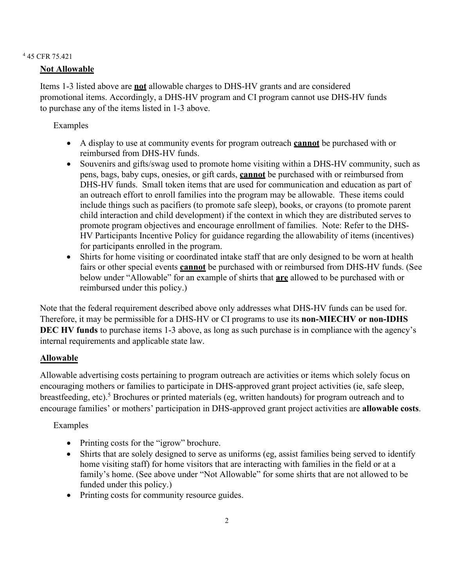## <span id="page-1-0"></span><sup>4</sup> 45 CFR 75.421

## **Not Allowable**

Items 1-3 listed above are **not** allowable charges to DHS-HV grants and are considered promotional items. Accordingly, a DHS-HV program and CI program cannot use DHS-HV funds to purchase any of the items listed in 1-3 above.

Examples

- A display to use at community events for program outreach **cannot** be purchased with or reimbursed from DHS-HV funds.
- Souvenirs and gifts/swag used to promote home visiting within a DHS-HV community, such as pens, bags, baby cups, onesies, or gift cards, **cannot** be purchased with or reimbursed from DHS-HV funds. Small token items that are used for communication and education as part of an outreach effort to enroll families into the program may be allowable. These items could include things such as pacifiers (to promote safe sleep), books, or crayons (to promote parent child interaction and child development) if the context in which they are distributed serves to promote program objectives and encourage enrollment of families. Note: Refer to the DHS-HV Participants Incentive Policy for guidance regarding the allowability of items (incentives) for participants enrolled in the program.
- Shirts for home visiting or coordinated intake staff that are only designed to be worn at health fairs or other special events **cannot** be purchased with or reimbursed from DHS-HV funds. (See below under "Allowable" for an example of shirts that **are** allowed to be purchased with or reimbursed under this policy.)

Note that the federal requirement described above only addresses what DHS-HV funds can be used for. Therefore, it may be permissible for a DHS-HV or CI programs to use its **non-MIECHV or non-IDHS DEC HV funds** to purchase items 1-3 above, as long as such purchase is in compliance with the agency's internal requirements and applicable state law.

## **Allowable**

Allowable advertising costs pertaining to program outreach are activities or items which solely focus on encouraging mothers or families to participate in DHS-approved grant project activities (ie, safe sleep, breastfeeding, etc).<sup>5</sup> [Br](#page-2-0)ochures or printed materials (eg, written handouts) for program outreach and to encourage families' or mothers' participation in DHS-approved grant project activities are **allowable costs**.

Examples

- Printing costs for the "igrow" brochure.
- Shirts that are solely designed to serve as uniforms (eg, assist families being served to identify home visiting staff) for home visitors that are interacting with families in the field or at a family's home. (See above under "Not Allowable" for some shirts that are not allowed to be funded under this policy.)
- Printing costs for community resource guides.